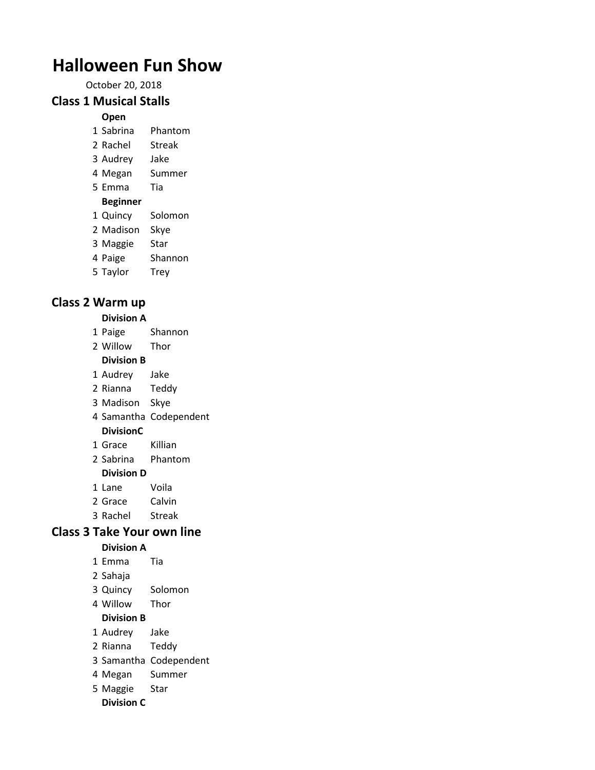# **Halloween Fun Show**

October 20, 2018

### **Class 1 Musical Stalls**

#### **Open**

- Sabrina Phantom
- Rachel Streak
- Audrey Jake
- Megan Summer
- Emma Tia

### **Beginner**

- Quincy Solomon
- Madison Skye
- Maggie Star
- Paige Shannon
- Taylor Trey

# **Class 2 Warm up**

#### **Division A**

- Paige Shannon
- Willow Thor

#### **Division B**

- Audrey Jake
- Rianna Teddy
- Madison Skye
- Samantha Codependent

### **DivisionC**

- Grace Killian
- Sabrina Phantom

### **Division D**

- Lane Voila
- Grace Calvin
- Rachel Streak

## **Class 3 Take Your own line**

### **Division A**

- Emma Tia
- Sahaja
- Quincy Solomon
- Willow Thor

### **Division B**

- Audrey Jake
- Rianna Teddy
- Samantha Codependent
- Megan Summer
- Maggie Star
- **Division C**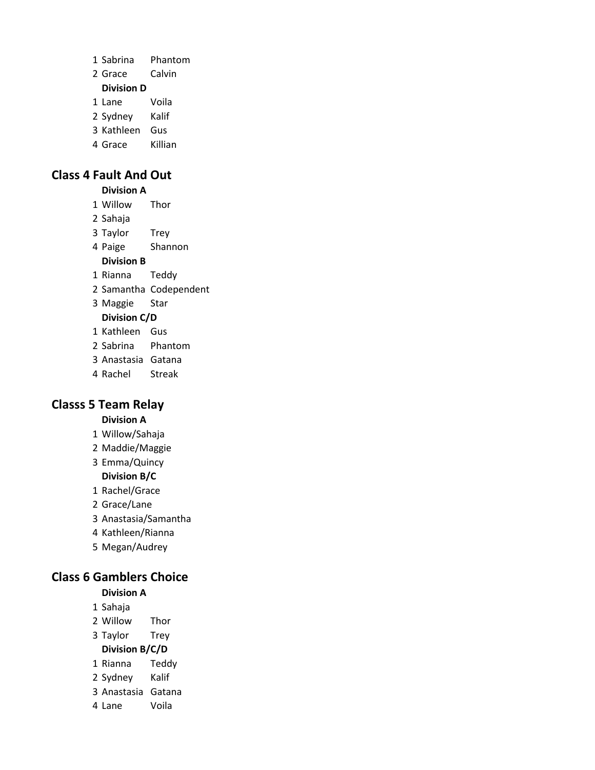| 1 Sabrina         | Phantom |
|-------------------|---------|
| 2 Grace           | Calvin  |
| <b>Division D</b> |         |
| 1 Lane            | Voila   |
| 2 Sydney          | Kalif   |
| 3 Kathleen        | Gus     |
| 4 Grace           | Killian |

### **Class 4 Fault And Out**

**Division A**

Willow Thor

 Sahaja Taylor Trey

Paige Shannon

**Division B**

Rianna Teddy

Samantha Codependent

Maggie Star

#### **Division C/D**

Kathleen Gus

Sabrina Phantom

Anastasia Gatana

Rachel Streak

### **Classs 5 Team Relay**

#### **Division A**

- Willow/Sahaja
- Maddie/Maggie

Emma/Quincy

**Division B/C**

Rachel/Grace

Grace/Lane

Anastasia/Samantha

Kathleen/Rianna

Megan/Audrey

#### **Class 6 Gamblers Choice**

#### **Division A**

Sahaja

Willow Thor

Taylor Trey

**Division B/C/D**

Rianna Teddy

Sydney Kalif

Anastasia Gatana

Lane Voila